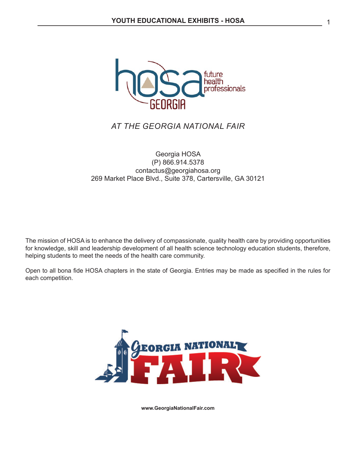

# *AT THE GEORGIA NATIONAL FAIR*

### Georgia HOSA (P) 866.914.5378 contactus@georgiahosa.org 269 Market Place Blvd., Suite 378, Cartersville, GA 30121

The mission of HOSA is to enhance the delivery of compassionate, quality health care by providing opportunities for knowledge, skill and leadership development of all health science technology education students, therefore, helping students to meet the needs of the health care community.

Open to all bona fide HOSA chapters in the state of Georgia. Entries may be made as specified in the rules for each competition.



**www.GeorgiaNationalFair.com**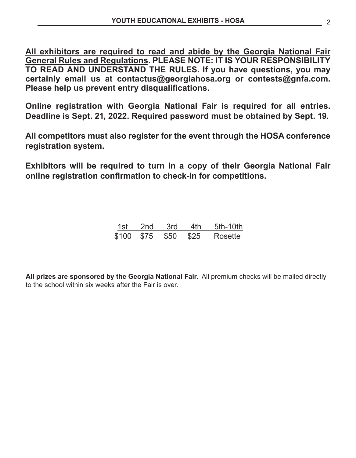**All exhibitors are required to read and abide by the Georgia National Fair General Rules and Regulations. PLEASE NOTE: IT IS YOUR RESPONSIBILITY TO READ AND UNDERSTAND THE RULES. If you have questions, you may certainly email us at contactus@georgiahosa.org or contests@gnfa.com. Please help us prevent entry disqualifications.**

**Online registration with Georgia National Fair is required for all entries. Deadline is Sept. 21, 2022. Required password must be obtained by Sept. 19.**

**All competitors must also register for the event through the HOSA conference registration system.**

**Exhibitors will be required to turn in a copy of their Georgia National Fair online registration confirmation to check-in for competitions.**

| 1st l | 2nd | .3rd                 | 4th | 5th-10th |
|-------|-----|----------------------|-----|----------|
|       |     | \$100 \$75 \$50 \$25 |     | Rosette  |

**All prizes are sponsored by the Georgia National Fair.** All premium checks will be mailed directly to the school within six weeks after the Fair is over.